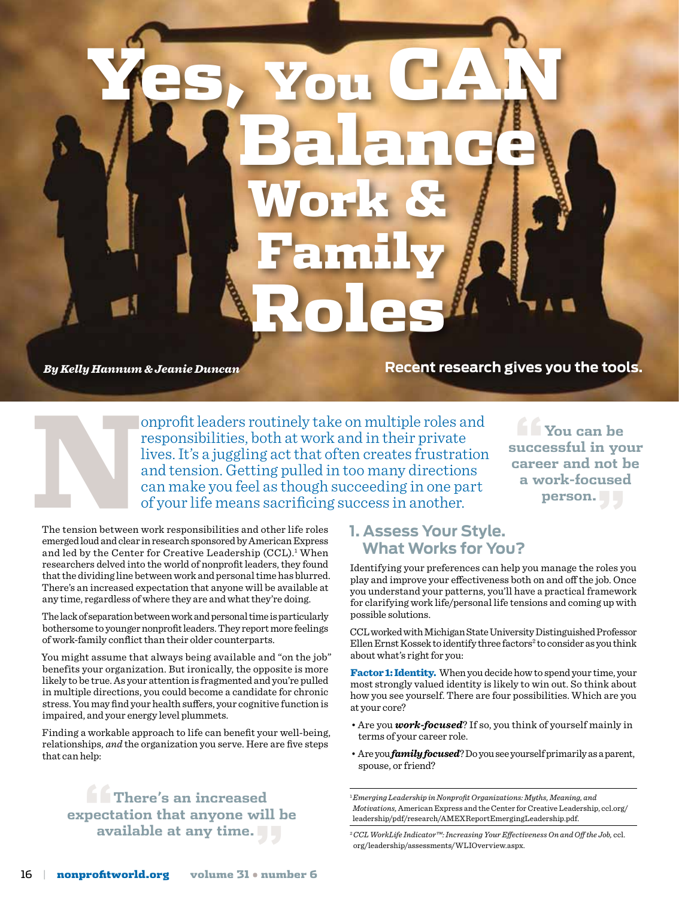*By Kelly Hannum & Jeanie Duncan*

**Recent research gives you the tools.**

onprofit leaders routinely take on multiple roles and<br>responsibilities, both at work and in their private<br>lives. It's a juggling act that often creates frustration<br>and tension. Getting pulled in too many directions<br>can mak responsibilities, both at work and in their private lives. It's a juggling act that often creates frustration and tension. Getting pulled in too many directions can make you feel as though succeeding in one part of your life means sacrificing success in another.

**"You can be successful in your career and not be a work-focused person."**

The tension between work responsibilities and other life roles emerged loud and clear in research sponsored by American Express and led by the Center for Creative Leadership (CCL).<sup>1</sup> When researchers delved into the world of nonprofit leaders, they found that the dividing line between work and personal time has blurred. There's an increased expectation that anyone will be available at any time, regardless of where they are and what they're doing.

The lack of separation between work and personal time is particularly bothersome to younger nonprofit leaders. They report more feelings of work-family conflict than their older counterparts.

You might assume that always being available and "on the job" benefits your organization. But ironically, the opposite is more likely to be true. As your attention is fragmented and you're pulled in multiple directions, you could become a candidate for chronic stress. You may find your health suffers, your cognitive function is impaired, and your energy level plummets.

Finding a workable approach to life can benefit your well-being, relationships, *and* the organization you serve. Here are five steps that can help:

**"There's an increased expectation that anyone will be available at any time."**

#### **1. Assess Your Style. What Works for You?**

Balance

Yes, You CAN

Work &

Family

Roles

Identifying your preferences can help you manage the roles you play and improve your effectiveness both on and off the job. Once you understand your patterns, you'll have a practical framework for clarifying work life/personal life tensions and coming up with possible solutions.

CCL worked with Michigan State University Distinguished Professor Ellen Ernst Kossek to identify three factors<sup>2</sup> to consider as you think about what's right for you:

Factor 1: Identity. When you decide how to spend your time, your most strongly valued identity is likely to win out. So think about how you see yourself. There are four possibilities. Which are you at your core?

- Are you *work-focused*? If so, you think of yourself mainly in terms of your career role.
- Are you *family focused*? Do you see yourself primarily as a parent, spouse, or friend?

<sup>1</sup>*Emerging Leadership in Nonprofit Organizations: Myths, Meaning, and Motivations,* American Express and the Center for Creative Leadership, ccl.org/ leadership/pdf/research/AMEXReportEmergingLeadership.pdf.

<sup>2</sup>*CCL WorkLife Indicator™: Increasing Your Effectiveness On and Off the Job,* ccl. org/leadership/assessments/WLIOverview.aspx.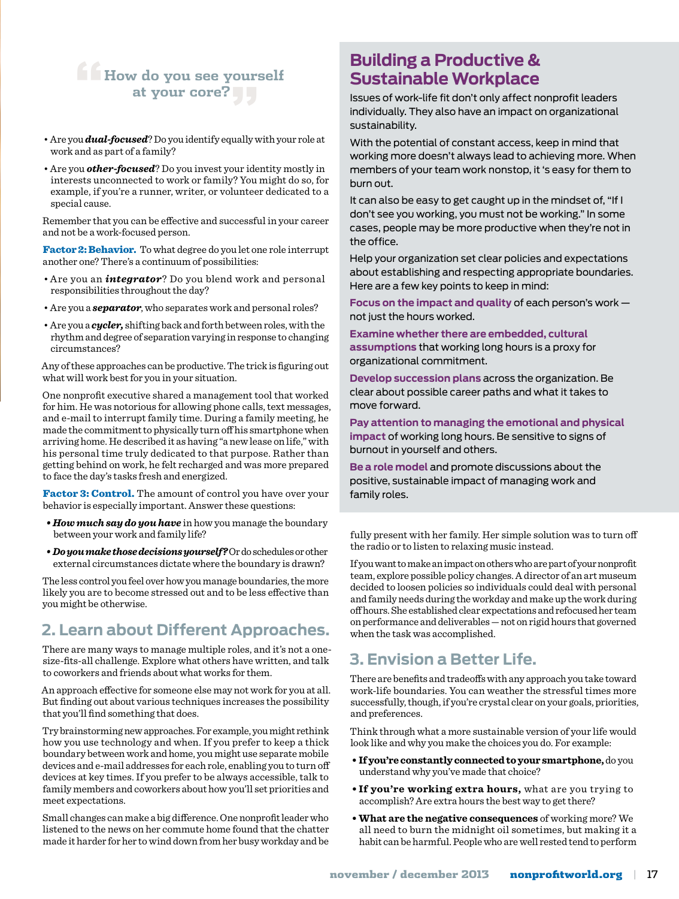# **"How do you see yourself at your core?"**

- Are you *dual-focused*? Do you identify equally with your role at work and as part of a family?
- Are you *other-focused*? Do you invest your identity mostly in interests unconnected to work or family? You might do so, for example, if you're a runner, writer, or volunteer dedicated to a special cause.

Remember that you can be effective and successful in your career and not be a work-focused person.

Factor 2: Behavior. To what degree do you let one role interrupt another one? There's a continuum of possibilities:

- Are you an *integrator*? Do you blend work and personal responsibilities throughout the day?
- Are you a *separator*, who separates work and personal roles?
- Are you a *cycler,* shifting back and forth between roles, with the rhythm and degree of separation varying in response to changing circumstances?

Any of these approaches can be productive. The trick is figuring out what will work best for you in your situation.

One nonprofit executive shared a management tool that worked for him. He was notorious for allowing phone calls, text messages, and e-mail to interrupt family time. During a family meeting, he made the commitment to physically turn off his smartphone when arriving home. He described it as having "a new lease on life," with his personal time truly dedicated to that purpose. Rather than getting behind on work, he felt recharged and was more prepared to face the day's tasks fresh and energized.

Factor 3: Control. The amount of control you have over your behavior is especially important. Answer these questions:

- *How much say do you have* in how you manage the boundary between your work and family life?
- *Do you make those decisions yourself?* Or do schedules or other external circumstances dictate where the boundary is drawn?

The less control you feel over how you manage boundaries, the more likely you are to become stressed out and to be less effective than you might be otherwise.

## **2. Learn about Different Approaches.**

There are many ways to manage multiple roles, and it's not a onesize-fits-all challenge. Explore what others have written, and talk to coworkers and friends about what works for them.

An approach effective for someone else may not work for you at all. But finding out about various techniques increases the possibility that you'll find something that does.

Try brainstorming new approaches. For example, you might rethink how you use technology and when. If you prefer to keep a thick boundary between work and home, you might use separate mobile devices and e-mail addresses for each role, enabling you to turn off devices at key times. If you prefer to be always accessible, talk to family members and coworkers about how you'll set priorities and meet expectations.

Small changes can make a big difference. One nonprofit leader who listened to the news on her commute home found that the chatter made it harder for her to wind down from her busy workday and be

### **Building a Productive & Sustainable Workplace**

Issues of work-life fit don't only affect nonprofit leaders individually. They also have an impact on organizational sustainability.

With the potential of constant access, keep in mind that working more doesn't always lead to achieving more. When members of your team work nonstop, it 's easy for them to burn out.

It can also be easy to get caught up in the mindset of, "If I don't see you working, you must not be working." In some cases, people may be more productive when they're not in the office.

Help your organization set clear policies and expectations about establishing and respecting appropriate boundaries. Here are a few key points to keep in mind:

**Focus on the impact and quality** of each person's work not just the hours worked.

**Examine whether there are embedded, cultural assumptions** that working long hours is a proxy for organizational commitment.

**Develop succession plans** across the organization. Be clear about possible career paths and what it takes to move forward.

**Pay attention to managing the emotional and physical impact** of working long hours. Be sensitive to signs of burnout in yourself and others.

**Be a role model** and promote discussions about the positive, sustainable impact of managing work and family roles.

fully present with her family. Her simple solution was to turn off the radio or to listen to relaxing music instead.

If you want to make an impact on others who are part of your nonprofit team, explore possible policy changes. A director of an art museum decided to loosen policies so individuals could deal with personal and family needs during the workday and make up the work during off hours. She established clear expectations and refocused her team on performance and deliverables — not on rigid hours that governed when the task was accomplished.

### **3. Envision a Better Life.**

There are benefits and tradeoffs with any approach you take toward work-life boundaries. You can weather the stressful times more successfully, though, if you're crystal clear on your goals, priorities, and preferences.

Think through what a more sustainable version of your life would look like and why you make the choices you do. For example:

- **• Ifyou're constantlyconnectedtoyour smartphone,** do you understand why you've made that choice?
- **• If you're working extra hours,** what are you trying to accomplish? Are extra hours the best way to get there?
- **• What are the negative consequences** of working more? We all need to burn the midnight oil sometimes, but making it a habit can be harmful. People who are well rested tend to perform